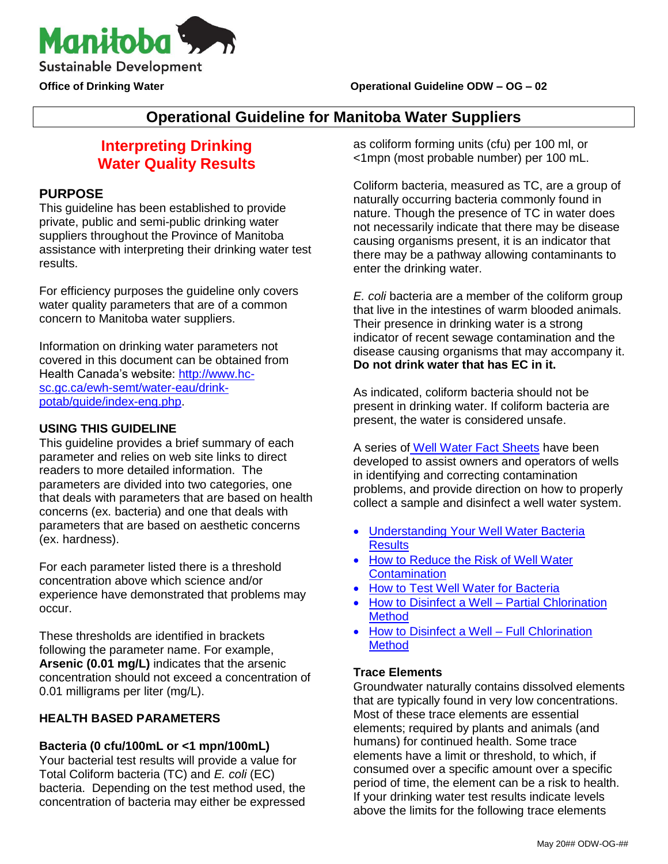

# **Operational Guideline for Manitoba Water Suppliers**

# **Interpreting Drinking Water Quality Results**

# **PURPOSE**

This guideline has been established to provide private, public and semi-public drinking water suppliers throughout the Province of Manitoba assistance with interpreting their drinking water test results.

For efficiency purposes the guideline only covers water quality parameters that are of a common concern to Manitoba water suppliers.

Information on drinking water parameters not covered in this document can be obtained from Health Canada's website: [http://www.hc](http://www.hc-sc.gc.ca/ewh-semt/water-eau/drink-potab/guide/index-eng.php)[sc.gc.ca/ewh-semt/water-eau/drink](http://www.hc-sc.gc.ca/ewh-semt/water-eau/drink-potab/guide/index-eng.php)[potab/guide/index-eng.php.](http://www.hc-sc.gc.ca/ewh-semt/water-eau/drink-potab/guide/index-eng.php)

# **USING THIS GUIDELINE**

This guideline provides a brief summary of each parameter and relies on web site links to direct readers to more detailed information. The parameters are divided into two categories, one that deals with parameters that are based on health concerns (ex. bacteria) and one that deals with parameters that are based on aesthetic concerns (ex. hardness).

For each parameter listed there is a threshold concentration above which science and/or experience have demonstrated that problems may occur.

These thresholds are identified in brackets following the parameter name. For example, **Arsenic (0.01 mg/L)** indicates that the arsenic concentration should not exceed a concentration of 0.01 milligrams per liter (mg/L).

# **HEALTH BASED PARAMETERS**

# **Bacteria (0 cfu/100mL or <1 mpn/100mL)**

Your bacterial test results will provide a value for Total Coliform bacteria (TC) and *E. coli* (EC) bacteria. Depending on the test method used, the concentration of bacteria may either be expressed as coliform forming units (cfu) per 100 ml, or <1mpn (most probable number) per 100 mL.

Coliform bacteria, measured as TC, are a group of naturally occurring bacteria commonly found in nature. Though the presence of TC in water does not necessarily indicate that there may be disease causing organisms present, it is an indicator that there may be a pathway allowing contaminants to enter the drinking water.

*E. coli* bacteria are a member of the coliform group that live in the intestines of warm blooded animals. Their presence in drinking water is a strong indicator of recent sewage contamination and the disease causing organisms that may accompany it. **Do not drink water that has EC in it.** 

As indicated, coliform bacteria should not be present in drinking water. If coliform bacteria are present, the water is considered unsafe.

A series of [Well Water Fact Sheets](https://www.gov.mb.ca/sd/waterstewardship/odw/public-info/fact_sheets/index.html) have been developed to assist owners and operators of wells in identifying and correcting contamination problems, and provide direction on how to properly collect a sample and disinfect a well water system.

- [Understanding Your Well Water Bacteria](https://www.gov.mb.ca/conservation/waterstewardship/odw/public-info/fact_sheets/pdf/understanding_your_results.pdf)  **[Results](https://www.gov.mb.ca/conservation/waterstewardship/odw/public-info/fact_sheets/pdf/understanding_your_results.pdf)**
- How to Reduce the Risk of Well Water **[Contamination](https://www.gov.mb.ca/conservation/waterstewardship/odw/public-info/fact_sheets/pdf/pr_5_well_water_factsheet_1_well_water_contamination.pdf)**
- [How to Test Well Water for Bacteria](https://www.gov.mb.ca/conservation/waterstewardship/odw/public-info/fact_sheets/pdf/pr_5a_well_water_factsheet_2_how_to_test_well_water.pdf)
- [How to Disinfect a Well –](https://www.gov.mb.ca/conservation/waterstewardship/odw/public-info/fact_sheets/pdf/pr_5a_well_water_factsheet_3_partial_chlorination.pdf) Partial Chlorination **[Method](https://www.gov.mb.ca/conservation/waterstewardship/odw/public-info/fact_sheets/pdf/pr_5a_well_water_factsheet_3_partial_chlorination.pdf)**
- [How to Disinfect a Well –](https://www.gov.mb.ca/conservation/waterstewardship/odw/public-info/fact_sheets/pdf/pr_5a_well_water_factsheet_full_shock_chlorination_4.pdf) Full Chlorination **Method**

# **Trace Elements**

Groundwater naturally contains dissolved elements that are typically found in very low concentrations. Most of these trace elements are essential elements; required by plants and animals (and humans) for continued health. Some trace elements have a limit or threshold, to which, if consumed over a specific amount over a specific period of time, the element can be a risk to health. If your drinking water test results indicate levels above the limits for the following trace elements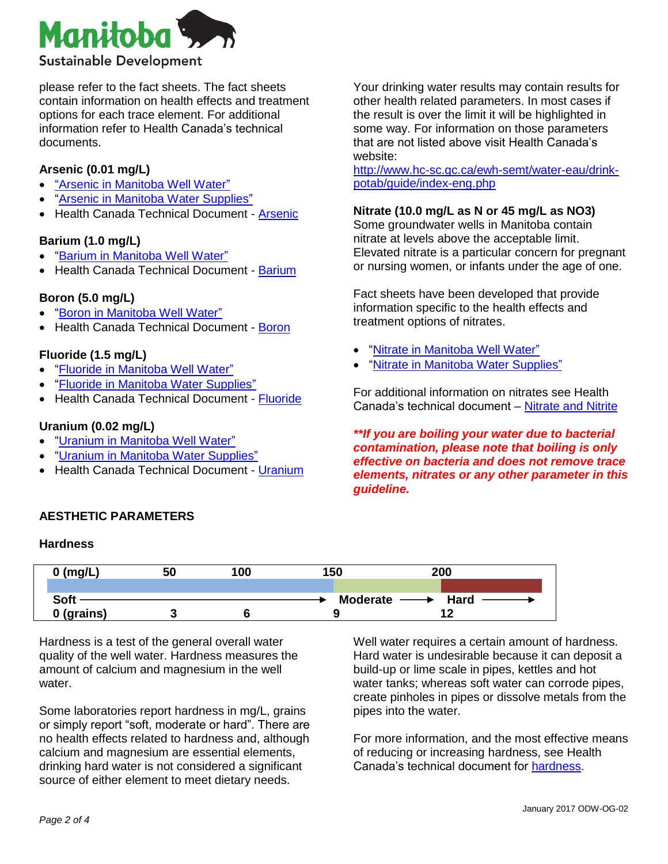

please refer to the fact sheets. The fact sheets contain information on health effects and treatment options for each trace element. For additional information refer to Health Canada's technical documents.

### **Arsenic (0.01 mg/L)**

- ["Arsenic in Manitoba Well Water"](https://www.gov.mb.ca/conservation/waterstewardship/odw/public-info/fact_sheets/pdf/factsheet.pdf)
- ["Arsenic in Manitoba Water Supplies"](https://www.gov.mb.ca/conservation/waterstewardship/odw/public-info/fact_sheets/pdf/factsheet_arsenic2.pdf)
- Health Canada Technical Document [Arsenic](http://healthycanadians.gc.ca/publications/healthy-living-vie-saine/water-arsenic-eau/index-eng.php)

### **Barium (1.0 mg/L)**

- ["Barium in Manitoba Well Water"](https://www.gov.mb.ca/conservation/waterstewardship/odw/public-info/fact_sheets/pdf/factsheet_barium.pdf)
- Health Canada Technical Document [Barium](http://healthycanadians.gc.ca/publications/healthy-living-vie-saine/water-barium-baryum-eau/index-eng.php)

### **Boron (5.0 mg/L)**

- ["Boron in Manitoba Well Water"](https://www.gov.mb.ca/conservation/waterstewardship/odw/public-info/fact_sheets/pdf/factsheet_boron.pdf)
- Health Canada Technical Document [Boron](http://healthycanadians.gc.ca/publications/healthy-living-vie-saine/water-boron-bore-eau/index-eng.php)

### **Fluoride (1.5 mg/L)**

- ["Fluoride in Manitoba Well Water"](https://www.gov.mb.ca/conservation/waterstewardship/odw/public-info/fact_sheets/pdf/factsheet_fluoride.pdf)
- ["Fluoride in Manitoba Water Supplies"](https://www.gov.mb.ca/conservation/waterstewardship/odw/public-info/fact_sheets/pdf/factsheet_fluoride2.pdf)
- Health Canada Technical Document [Fluoride](http://healthycanadians.gc.ca/publications/healthy-living-vie-saine/water-fluoride-fluorure-eau/index-eng.php)

#### **Uranium (0.02 mg/L)**

- ["Uranium in Manitoba Well Water"](https://www.gov.mb.ca/conservation/waterstewardship/odw/public-info/fact_sheets/pdf/factsheet_uranium.pdf)
- ["Uranium in Manitoba Water Supplies"](https://www.gov.mb.ca/conservation/waterstewardship/odw/public-info/fact_sheets/pdf/factsheet_uranium2.pdf)
- Health Canada Technical Document [Uranium](http://healthycanadians.gc.ca/publications/healthy-living-vie-saine/water-uranium-eau/index-eng.php)

Your drinking water results may contain results for other health related parameters. In most cases if the result is over the limit it will be highlighted in some way. For information on those parameters that are not listed above visit Health Canada's website:

[http://www.hc-sc.gc.ca/ewh-semt/water-eau/drink](http://www.hc-sc.gc.ca/ewh-semt/water-eau/drink-potab/guide/index-eng.php)[potab/guide/index-eng.php](http://www.hc-sc.gc.ca/ewh-semt/water-eau/drink-potab/guide/index-eng.php)

#### **Nitrate (10.0 mg/L as N or 45 mg/L as NO3)**

Some groundwater wells in Manitoba contain nitrate at levels above the acceptable limit. Elevated nitrate is a particular concern for pregnant or nursing women, or infants under the age of one.

Fact sheets have been developed that provide information specific to the health effects and treatment options of nitrates.

- ["Nitrate in Manitoba Well Water"](https://www.gov.mb.ca/conservation/waterstewardship/odw/public-info/fact_sheets/pdf/factsheet_nitrate.pdf)
- ["Nitrate in Manitoba Water Supplies"](https://www.gov.mb.ca/conservation/waterstewardship/odw/public-info/fact_sheets/pdf/factsheet_nitrate2.pdf)

For additional information on nitrates see Health Canada's technical document – [Nitrate and Nitrite](http://healthycanadians.gc.ca/publications/healthy-living-vie-saine/water-nitrate-nitrite-eau/index-eng.php)

*\*\*If you are boiling your water due to bacterial contamination, please note that boiling is only effective on bacteria and does not remove trace elements, nitrates or any other parameter in this guideline.* 

### **AESTHETIC PARAMETERS**

#### **Hardness**

| $0$ (mg/L)  | 50 | 100 | 150                        | 200         |
|-------------|----|-----|----------------------------|-------------|
|             |    |     |                            |             |
| <b>Soft</b> |    |     | Moderate $\longrightarrow$ | <b>Hard</b> |
| 0 (grains)  |    |     |                            |             |

Hardness is a test of the general overall water quality of the well water. Hardness measures the amount of calcium and magnesium in the well water.

Some laboratories report hardness in mg/L, grains or simply report "soft, moderate or hard". There are no health effects related to hardness and, although calcium and magnesium are essential elements, drinking hard water is not considered a significant source of either element to meet dietary needs.

Well water requires a certain amount of hardness. Hard water is undesirable because it can deposit a build-up or lime scale in pipes, kettles and hot water tanks; whereas soft water can corrode pipes, create pinholes in pipes or dissolve metals from the pipes into the water.

For more information, and the most effective means of reducing or increasing hardness, see Health Canada's technical document for [hardness.](http://healthycanadians.gc.ca/publications/healthy-living-vie-saine/water-hardness-durete-eau/index-eng.php)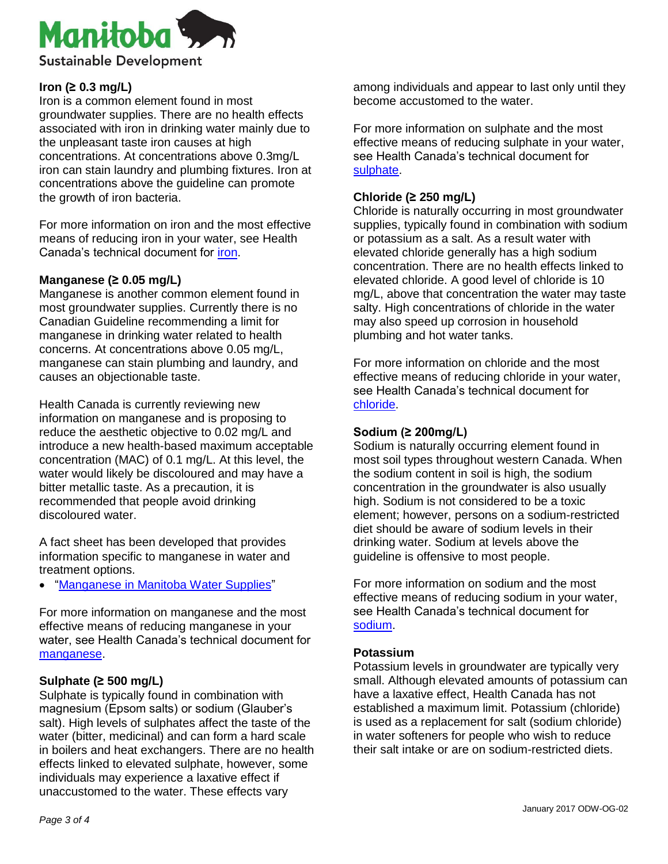

### **Iron (≥ 0.3 mg/L)**

Iron is a common element found in most groundwater supplies. There are no health effects associated with iron in drinking water mainly due to the unpleasant taste iron causes at high concentrations. At concentrations above 0.3mg/L iron can stain laundry and plumbing fixtures. Iron at concentrations above the guideline can promote the growth of iron bacteria.

For more information on iron and the most effective means of reducing iron in your water, see Health Canada's technical document for [iron.](http://healthycanadians.gc.ca/publications/healthy-living-vie-saine/water-iron-fer-eau/index-eng.php)

### **Manganese (≥ 0.05 mg/L)**

Manganese is another common element found in most groundwater supplies. Currently there is no Canadian Guideline recommending a limit for manganese in drinking water related to health concerns. At concentrations above 0.05 mg/L, manganese can stain plumbing and laundry, and causes an objectionable taste.

Health Canada is currently reviewing new information on manganese and is proposing to reduce the aesthetic objective to 0.02 mg/L and introduce a new health-based maximum acceptable concentration (MAC) of 0.1 mg/L. At this level, the water would likely be discoloured and may have a bitter metallic taste. As a precaution, it is recommended that people avoid drinking discoloured water.

A fact sheet has been developed that provides information specific to manganese in water and treatment options.

["Manganese in Manitoba Water Supplies"](https://www.gov.mb.ca/conservation/waterstewardship/odw/pdf/manganese_2016.pdf)

For more information on manganese and the most effective means of reducing manganese in your water, see Health Canada's technical document for [manganese.](http://healthycanadians.gc.ca/publications/healthy-living-vie-saine/water-manganese-eau/index-eng.php)

# **Sulphate (≥ 500 mg/L)**

Sulphate is typically found in combination with magnesium (Epsom salts) or sodium (Glauber's salt). High levels of sulphates affect the taste of the water (bitter, medicinal) and can form a hard scale in boilers and heat exchangers. There are no health effects linked to elevated sulphate, however, some individuals may experience a laxative effect if unaccustomed to the water. These effects vary

among individuals and appear to last only until they become accustomed to the water.

For more information on sulphate and the most effective means of reducing sulphate in your water, see Health Canada's technical document for [sulphate.](http://healthycanadians.gc.ca/publications/healthy-living-vie-saine/water-sulphate-sulfate-eau/index-eng.php)

### **Chloride (≥ 250 mg/L)**

Chloride is naturally occurring in most groundwater supplies, typically found in combination with sodium or potassium as a salt. As a result water with elevated chloride generally has a high sodium concentration. There are no health effects linked to elevated chloride. A good level of chloride is 10 mg/L, above that concentration the water may taste salty. High concentrations of chloride in the water may also speed up corrosion in household plumbing and hot water tanks.

For more information on chloride and the most effective means of reducing chloride in your water, see Health Canada's technical document for [chloride.](http://healthycanadians.gc.ca/publications/healthy-living-vie-saine/water-chloride-chlorure-eau/index-eng.php)

### **Sodium (≥ 200mg/L)**

Sodium is naturally occurring element found in most soil types throughout western Canada. When the sodium content in soil is high, the sodium concentration in the groundwater is also usually high. Sodium is not considered to be a toxic element; however, persons on a sodium-restricted diet should be aware of sodium levels in their drinking water. Sodium at levels above the guideline is offensive to most people.

For more information on sodium and the most effective means of reducing sodium in your water, see Health Canada's technical document for [sodium.](http://healthycanadians.gc.ca/publications/healthy-living-vie-saine/water-sodium-eau/index-eng.php)

### **Potassium**

Potassium levels in groundwater are typically very small. Although elevated amounts of potassium can have a laxative effect, Health Canada has not established a maximum limit. Potassium (chloride) is used as a replacement for salt (sodium chloride) in water softeners for people who wish to reduce their salt intake or are on sodium-restricted diets.